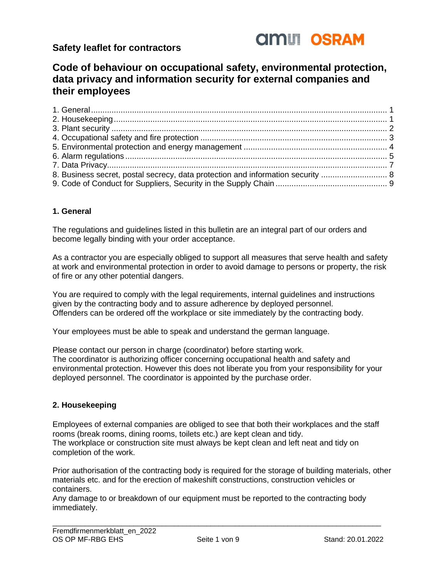

# **Code of behaviour on occupational safety, environmental protection, data privacy and information security for external companies and their employees**

| 8. Business secret, postal secrecy, data protection and information security  8 |  |
|---------------------------------------------------------------------------------|--|
|                                                                                 |  |

## <span id="page-0-0"></span>**1. General**

The regulations and guidelines listed in this bulletin are an integral part of our orders and become legally binding with your order acceptance.

As a contractor you are especially obliged to support all measures that serve health and safety at work and environmental protection in order to avoid damage to persons or property, the risk of fire or any other potential dangers.

You are required to comply with the legal requirements, internal guidelines and instructions given by the contracting body and to assure adherence by deployed personnel. Offenders can be ordered off the workplace or site immediately by the contracting body.

Your employees must be able to speak and understand the german language.

Please contact our person in charge (coordinator) before starting work. The coordinator is authorizing officer concerning occupational health and safety and environmental protection. However this does not liberate you from your responsibility for your deployed personnel. The coordinator is appointed by the purchase order.

## <span id="page-0-1"></span>**2. Housekeeping**

Employees of external companies are obliged to see that both their workplaces and the staff rooms (break rooms, dining rooms, toilets etc.) are kept clean and tidy. The workplace or construction site must always be kept clean and left neat and tidy on completion of the work.

Prior authorisation of the contracting body is required for the storage of building materials, other materials etc. and for the erection of makeshift constructions, construction vehicles or containers.

Any damage to or breakdown of our equipment must be reported to the contracting body immediately.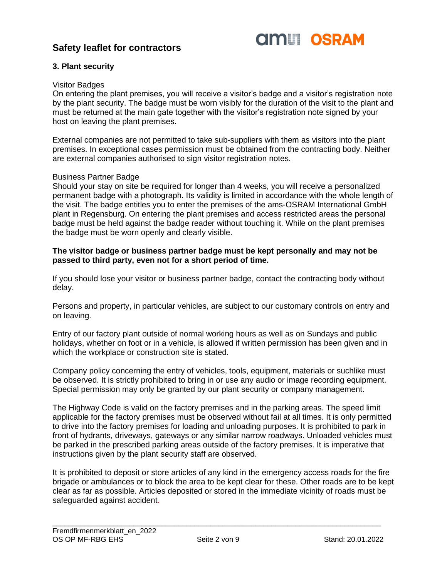

## <span id="page-1-0"></span>**3. Plant security**

#### Visitor Badges

On entering the plant premises, you will receive a visitor's badge and a visitor's registration note by the plant security. The badge must be worn visibly for the duration of the visit to the plant and must be returned at the main gate together with the visitor's registration note signed by your host on leaving the plant premises.

External companies are not permitted to take sub-suppliers with them as visitors into the plant premises. In exceptional cases permission must be obtained from the contracting body. Neither are external companies authorised to sign visitor registration notes.

#### Business Partner Badge

Should your stay on site be required for longer than 4 weeks, you will receive a personalized permanent badge with a photograph. Its validity is limited in accordance with the whole length of the visit. The badge entitles you to enter the premises of the ams-OSRAM International GmbH plant in Regensburg. On entering the plant premises and access restricted areas the personal badge must be held against the badge reader without touching it. While on the plant premises the badge must be worn openly and clearly visible.

#### **The visitor badge or business partner badge must be kept personally and may not be passed to third party, even not for a short period of time.**

If you should lose your visitor or business partner badge, contact the contracting body without delay.

Persons and property, in particular vehicles, are subject to our customary controls on entry and on leaving.

Entry of our factory plant outside of normal working hours as well as on Sundays and public holidays, whether on foot or in a vehicle, is allowed if written permission has been given and in which the workplace or construction site is stated.

Company policy concerning the entry of vehicles, tools, equipment, materials or suchlike must be observed. It is strictly prohibited to bring in or use any audio or image recording equipment. Special permission may only be granted by our plant security or company management.

The Highway Code is valid on the factory premises and in the parking areas. The speed limit applicable for the factory premises must be observed without fail at all times. It is only permitted to drive into the factory premises for loading and unloading purposes. It is prohibited to park in front of hydrants, driveways, gateways or any similar narrow roadways. Unloaded vehicles must be parked in the prescribed parking areas outside of the factory premises. It is imperative that instructions given by the plant security staff are observed.

It is prohibited to deposit or store articles of any kind in the emergency access roads for the fire brigade or ambulances or to block the area to be kept clear for these. Other roads are to be kept clear as far as possible. Articles deposited or stored in the immediate vicinity of roads must be safeguarded against accident.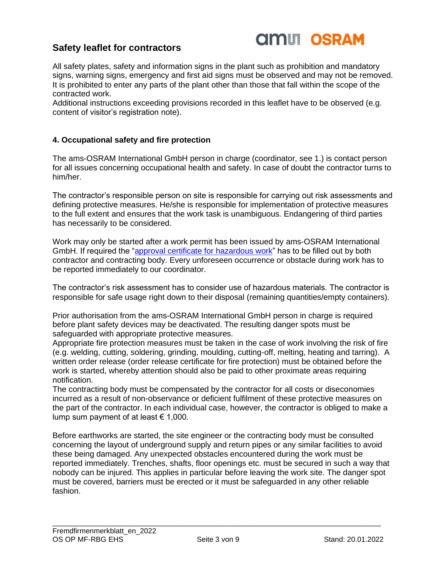

All safety plates, safety and information signs in the plant such as prohibition and mandatory signs, warning signs, emergency and first aid signs must be observed and may not be removed. It is prohibited to enter any parts of the plant other than those that fall within the scope of the contracted work.

Additional instructions exceeding provisions recorded in this leaflet have to be observed (e.g. content of visitor's registration note).

#### <span id="page-2-0"></span>**4. Occupational safety and fire protection**

The ams-OSRAM International GmbH person in charge (coordinator, see 1.) is contact person for all issues concerning occupational health and safety. In case of doubt the contractor turns to him/her.

The contractor's responsible person on site is responsible for carrying out risk assessments and defining protective measures. He/she is responsible for implementation of protective measures to the full extent and ensures that the work task is unambiguous. Endangering of third parties has necessarily to be considered.

Work may only be started after a work permit has been issued by ams-OSRAM International GmbH. If required the ["approval certificate for hazardous work"](https://global-intranet.osram-light.com/sites/FormsTemplates/_layouts/15/WopiFrame.aspx?sourcedoc=/sites/FormsTemplates/WordTemplates/Freigabeschein%20f%C3%BCr%20Arbeiten%20mit%20Gef%C3%A4hrdungen_englisch.docx&action=default&DefaultItemOpen=1) has to be filled out by both contractor and contracting body. Every unforeseen occurrence or obstacle during work has to be reported immediately to our coordinator.

The contractor's risk assessment has to consider use of hazardous materials. The contractor is responsible for safe usage right down to their disposal (remaining quantities/empty containers).

Prior authorisation from the ams-OSRAM International GmbH person in charge is required before plant safety devices may be deactivated. The resulting danger spots must be safeguarded with appropriate protective measures.

Appropriate fire protection measures must be taken in the case of work involving the risk of fire (e.g. welding, cutting, soldering, grinding, moulding, cutting-off, melting, heating and tarring). A written order release (order release certificate for fire protection) must be obtained before the work is started, whereby attention should also be paid to other proximate areas requiring notification.

The contracting body must be compensated by the contractor for all costs or diseconomies incurred as a result of non-observance or deficient fulfilment of these protective measures on the part of the contractor. In each individual case, however, the contractor is obliged to make a lump sum payment of at least  $\epsilon$  1,000.

Before earthworks are started, the site engineer or the contracting body must be consulted concerning the layout of underground supply and return pipes or any similar facilities to avoid these being damaged. Any unexpected obstacles encountered during the work must be reported immediately. Trenches, shafts, floor openings etc. must be secured in such a way that nobody can be injured. This applies in particular before leaving the work site. The danger spot must be covered, barriers must be erected or it must be safeguarded in any other reliable fashion.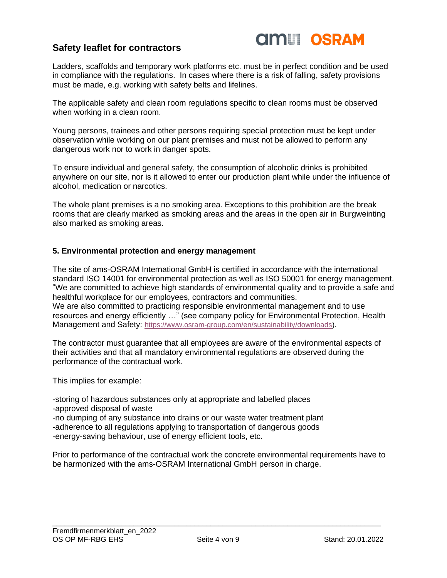

Ladders, scaffolds and temporary work platforms etc. must be in perfect condition and be used in compliance with the regulations. In cases where there is a risk of falling, safety provisions must be made, e.g. working with safety belts and lifelines.

The applicable safety and clean room regulations specific to clean rooms must be observed when working in a clean room.

Young persons, trainees and other persons requiring special protection must be kept under observation while working on our plant premises and must not be allowed to perform any dangerous work nor to work in danger spots.

To ensure individual and general safety, the consumption of alcoholic drinks is prohibited anywhere on our site, nor is it allowed to enter our production plant while under the influence of alcohol, medication or narcotics.

The whole plant premises is a no smoking area. Exceptions to this prohibition are the break rooms that are clearly marked as smoking areas and the areas in the open air in Burgweinting also marked as smoking areas.

#### <span id="page-3-0"></span>**5. Environmental protection and energy management**

The site of ams-OSRAM International GmbH is certified in accordance with the international standard ISO 14001 for environmental protection as well as ISO 50001 for energy management. "We are committed to achieve high standards of environmental quality and to provide a safe and healthful workplace for our employees, contractors and communities. We are also committed to practicing responsible environmental management and to use resources and energy efficiently …" (see company policy for Environmental Protection, Health

Management and Safety: [https://www.osram-group.com/en/sustainability/downloads\)](https://www.osram-group.com/en/sustainability/downloads).

The contractor must guarantee that all employees are aware of the environmental aspects of their activities and that all mandatory environmental regulations are observed during the performance of the contractual work.

This implies for example:

-storing of hazardous substances only at appropriate and labelled places -approved disposal of waste -no dumping of any substance into drains or our waste water treatment plant -adherence to all regulations applying to transportation of dangerous goods -energy-saving behaviour, use of energy efficient tools, etc.

Prior to performance of the contractual work the concrete environmental requirements have to be harmonized with the ams-OSRAM International GmbH person in charge.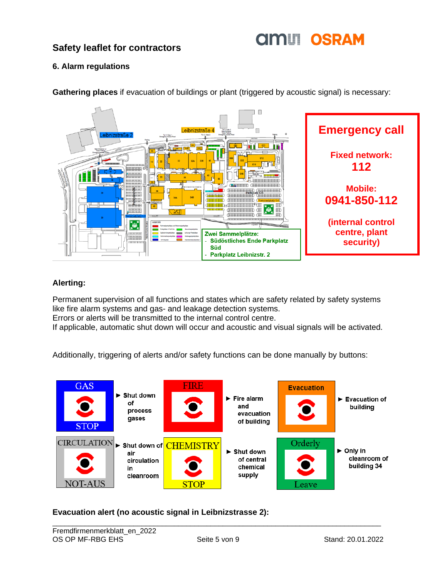# **AMIT OSRAM**

# **Safety leaflet for contractors**

## <span id="page-4-0"></span>**6. Alarm regulations**



**Gathering places** if evacuation of buildings or plant (triggered by acoustic signal) is necessary:

## **Alerting:**

Permanent supervision of all functions and states which are safety related by safety systems like fire alarm systems and gas- and leakage detection systems.

Errors or alerts will be transmitted to the internal control centre.

If applicable, automatic shut down will occur and acoustic and visual signals will be activated.

Additionally, triggering of alerts and/or safety functions can be done manually by buttons:



## **Evacuation alert (no acoustic signal in Leibnizstrasse 2):**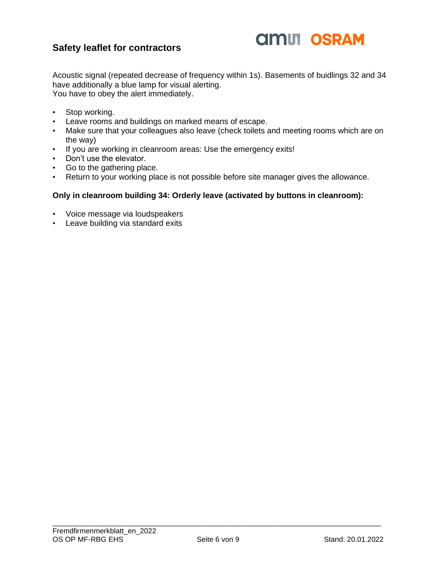

Acoustic signal (repeated decrease of frequency within 1s). Basements of buidlings 32 and 34 have additionally a blue lamp for visual alerting. You have to obey the alert immediately.

- Stop working.
- Leave rooms and buildings on marked means of escape.
- Make sure that your colleagues also leave (check toilets and meeting rooms which are on the way)
- If you are working in cleanroom areas: Use the emergency exits!
- Don't use the elevator.
- Go to the gathering place.
- Return to your working place is not possible before site manager gives the allowance.

#### **Only in cleanroom building 34: Orderly leave (activated by buttons in cleanroom):**

- Voice message via loudspeakers
- Leave building via standard exits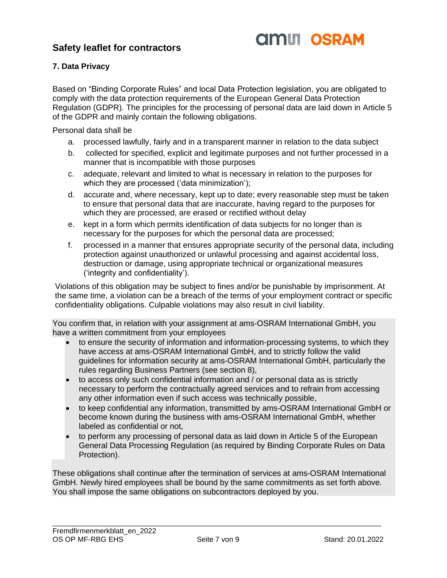

## <span id="page-6-0"></span>**7. Data Privacy**

Based on "Binding Corporate Rules" and local Data Protection legislation, you are obligated to comply with the data protection requirements of the European General Data Protection Regulation (GDPR). The principles for the processing of personal data are laid down in Article 5 of the GDPR and mainly contain the following obligations.

Personal data shall be

- a. processed lawfully, fairly and in a transparent manner in relation to the data subject
- b. collected for specified, explicit and legitimate purposes and not further processed in a manner that is incompatible with those purposes
- c. adequate, relevant and limited to what is necessary in relation to the purposes for which they are processed ('data minimization');
- d. accurate and, where necessary, kept up to date; every reasonable step must be taken to ensure that personal data that are inaccurate, having regard to the purposes for which they are processed, are erased or rectified without delay
- e. kept in a form which permits identification of data subjects for no longer than is necessary for the purposes for which the personal data are processed;
- f. processed in a manner that ensures appropriate security of the personal data, including protection against unauthorized or unlawful processing and against accidental loss, destruction or damage, using appropriate technical or organizational measures ('integrity and confidentiality').

Violations of this obligation may be subject to fines and/or be punishable by imprisonment. At the same time, a violation can be a breach of the terms of your employment contract or specific confidentiality obligations. Culpable violations may also result in civil liability.

You confirm that, in relation with your assignment at ams-OSRAM International GmbH, you have a written commitment from your employees

- to ensure the security of information and information-processing systems, to which they have access at ams-OSRAM International GmbH, and to strictly follow the valid guidelines for information security at ams-OSRAM International GmbH, particularly the rules regarding Business Partners (see section 8),
- to access only such confidential information and / or personal data as is strictly necessary to perform the contractually agreed services and to refrain from accessing any other information even if such access was technically possible,
- to keep confidential any information, transmitted by ams-OSRAM International GmbH or become known during the business with ams-OSRAM International GmbH, whether labeled as confidential or not,
- to perform any processing of personal data as laid down in Article 5 of the European General Data Processing Regulation (as required by Binding Corporate Rules on Data Protection).

These obligations shall continue after the termination of services at ams-OSRAM International GmbH. Newly hired employees shall be bound by the same commitments as set forth above. You shall impose the same obligations on subcontractors deployed by you.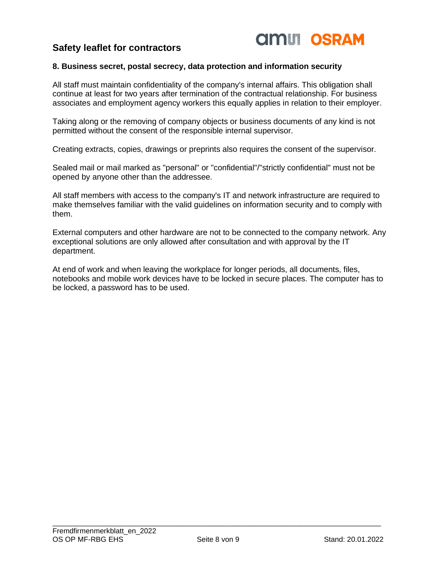

## <span id="page-7-0"></span>**8. Business secret, postal secrecy, data protection and information security**

All staff must maintain confidentiality of the company's internal affairs. This obligation shall continue at least for two years after termination of the contractual relationship. For business associates and employment agency workers this equally applies in relation to their employer.

Taking along or the removing of company objects or business documents of any kind is not permitted without the consent of the responsible internal supervisor.

Creating extracts, copies, drawings or preprints also requires the consent of the supervisor.

Sealed mail or mail marked as "personal" or "confidential"/"strictly confidential" must not be opened by anyone other than the addressee.

All staff members with access to the company's IT and network infrastructure are required to make themselves familiar with the valid guidelines on information security and to comply with them.

External computers and other hardware are not to be connected to the company network. Any exceptional solutions are only allowed after consultation and with approval by the IT department.

At end of work and when leaving the workplace for longer periods, all documents, files, notebooks and mobile work devices have to be locked in secure places. The computer has to be locked, a password has to be used.